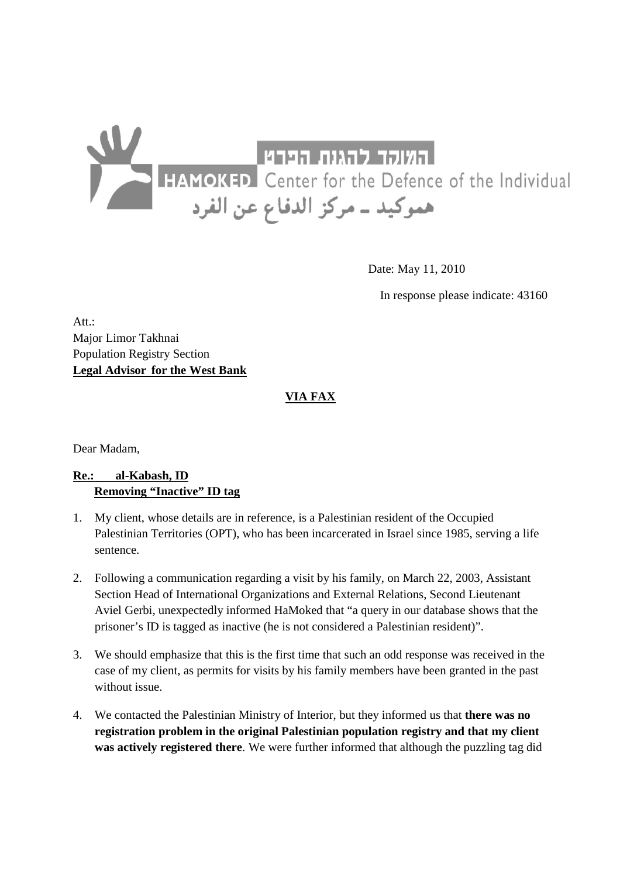## <mark>HELL HELL CONGLE CONGLED</mark><br>- المسوكيد ــ مركز الدفاع عن الفرد FIAMOKED Center for the Defence of the Individual<br>- هموكيد ــ مركز الدفاع عن الفرد

Date: May 11, 2010

In response please indicate: 43160

Att.: Major Limor Takhnai Population Registry Section **Legal Advisor for the West Bank**

## **VIA FAX**

Dear Madam,

## **Re.: al-Kabash, ID Removing "Inactive" ID tag**

- 1. My client, whose details are in reference, is a Palestinian resident of the Occupied Palestinian Territories (OPT), who has been incarcerated in Israel since 1985, serving a life sentence.
- 2. Following a communication regarding a visit by his family, on March 22, 2003, Assistant Section Head of International Organizations and External Relations, Second Lieutenant Aviel Gerbi, unexpectedly informed HaMoked that "a query in our database shows that the prisoner's ID is tagged as inactive (he is not considered a Palestinian resident)".
- 3. We should emphasize that this is the first time that such an odd response was received in the case of my client, as permits for visits by his family members have been granted in the past without issue.
- 4. We contacted the Palestinian Ministry of Interior, but they informed us that **there was no registration problem in the original Palestinian population registry and that my client was actively registered there**. We were further informed that although the puzzling tag did